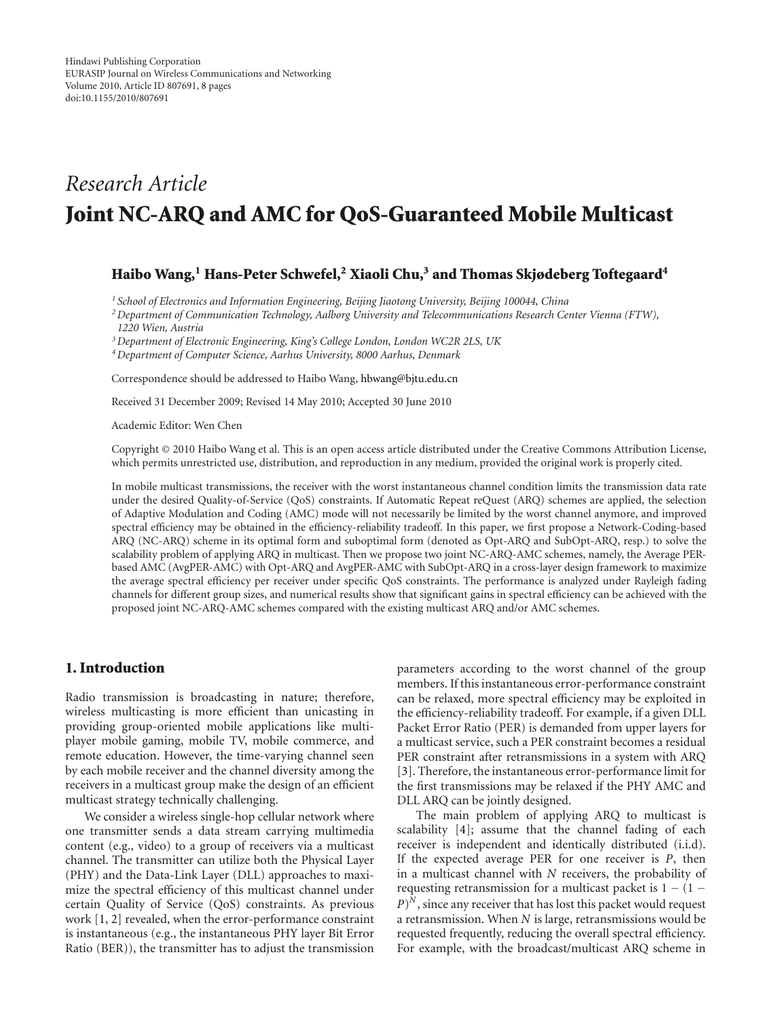# *Research Article* **Joint NC-ARQ and AMC for QoS-Guaranteed Mobile Multicast**

# **Haibo Wang,1 Hans-Peter Schwefel,2 Xiaoli Chu,3 and Thomas Skjødeberg Toftegaard4**

*<sup>1</sup> School of Electronics and Information Engineering, Beijing Jiaotong University, Beijing 100044, China*

*2Department of Communication Technology, Aalborg University and Telecommunications Research Center Vienna (FTW), 1220 Wien, Austria*

*3Department of Electronic Engineering, King's College London, London WC2R 2LS, UK*

*4Department of Computer Science, Aarhus University, 8000 Aarhus, Denmark*

Correspondence should be addressed to Haibo Wang, hbwang@bjtu.edu.cn

Received 31 December 2009; Revised 14 May 2010; Accepted 30 June 2010

Academic Editor: Wen Chen

Copyright © 2010 Haibo Wang et al. This is an open access article distributed under the Creative Commons Attribution License, which permits unrestricted use, distribution, and reproduction in any medium, provided the original work is properly cited.

In mobile multicast transmissions, the receiver with the worst instantaneous channel condition limits the transmission data rate under the desired Quality-of-Service (QoS) constraints. If Automatic Repeat reQuest (ARQ) schemes are applied, the selection of Adaptive Modulation and Coding (AMC) mode will not necessarily be limited by the worst channel anymore, and improved spectral efficiency may be obtained in the efficiency-reliability tradeoff. In this paper, we first propose a Network-Coding-based ARQ (NC-ARQ) scheme in its optimal form and suboptimal form (denoted as Opt-ARQ and SubOpt-ARQ, resp.) to solve the scalability problem of applying ARQ in multicast. Then we propose two joint NC-ARQ-AMC schemes, namely, the Average PERbased AMC (AvgPER-AMC) with Opt-ARQ and AvgPER-AMC with SubOpt-ARQ in a cross-layer design framework to maximize the average spectral efficiency per receiver under specific QoS constraints. The performance is analyzed under Rayleigh fading channels for different group sizes, and numerical results show that significant gains in spectral efficiency can be achieved with the proposed joint NC-ARQ-AMC schemes compared with the existing multicast ARQ and/or AMC schemes.

## **1. Introduction**

Radio transmission is broadcasting in nature; therefore, wireless multicasting is more efficient than unicasting in providing group-oriented mobile applications like multiplayer mobile gaming, mobile TV, mobile commerce, and remote education. However, the time-varying channel seen by each mobile receiver and the channel diversity among the receivers in a multicast group make the design of an efficient multicast strategy technically challenging.

We consider a wireless single-hop cellular network where one transmitter sends a data stream carrying multimedia content (e.g., video) to a group of receivers via a multicast channel. The transmitter can utilize both the Physical Layer (PHY) and the Data-Link Layer (DLL) approaches to maximize the spectral efficiency of this multicast channel under certain Quality of Service (QoS) constraints. As previous work [1, 2] revealed, when the error-performance constraint is instantaneous (e.g., the instantaneous PHY layer Bit Error Ratio (BER)), the transmitter has to adjust the transmission parameters according to the worst channel of the group members. If this instantaneous error-performance constraint can be relaxed, more spectral efficiency may be exploited in the efficiency-reliability tradeoff. For example, if a given DLL Packet Error Ratio (PER) is demanded from upper layers for a multicast service, such a PER constraint becomes a residual PER constraint after retransmissions in a system with ARQ [3]. Therefore, the instantaneous error-performance limit for the first transmissions may be relaxed if the PHY AMC and DLL ARQ can be jointly designed.

The main problem of applying ARQ to multicast is scalability [4]; assume that the channel fading of each receiver is independent and identically distributed (i.i.d). If the expected average PER for one receiver is *P*, then in a multicast channel with *N* receivers, the probability of requesting retransmission for a multicast packet is  $1 - (1 -$ *P*<sup>N</sup>, since any receiver that has lost this packet would request<br>a retransmission. When N is large, retransmissions would be a retransmission. When *N* is large, retransmissions would be requested frequently, reducing the overall spectral efficiency. For example, with the broadcast/multicast ARQ scheme in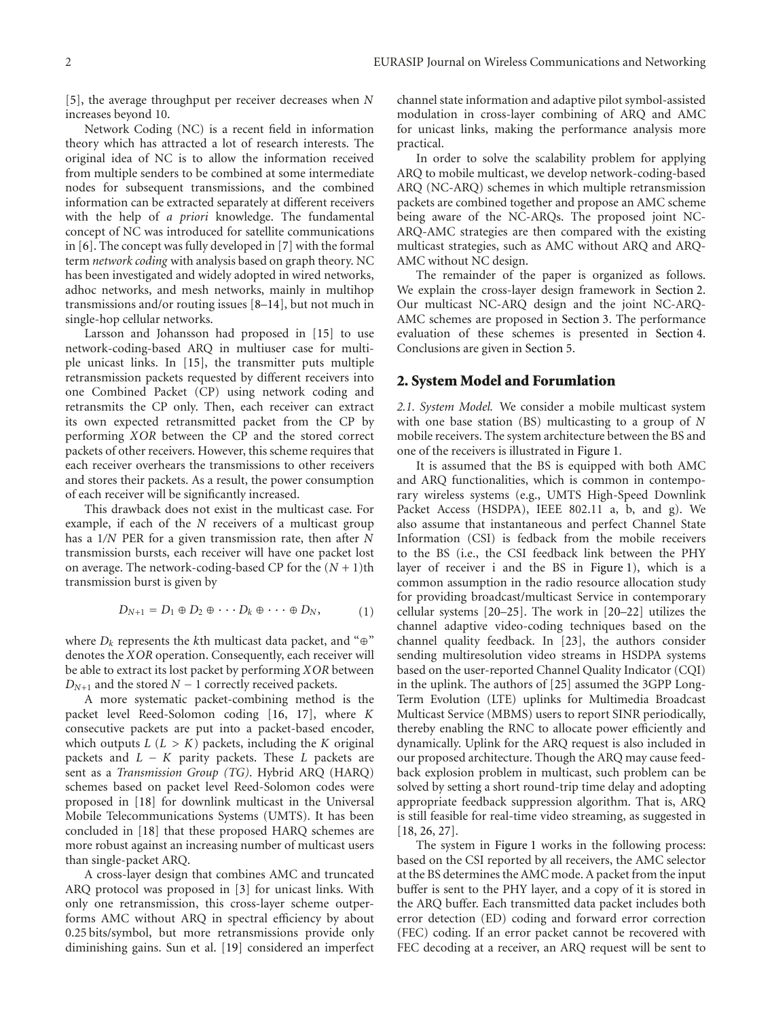[5], the average throughput per receiver decreases when *N* increases beyond 10.

Network Coding (NC) is a recent field in information theory which has attracted a lot of research interests. The original idea of NC is to allow the information received from multiple senders to be combined at some intermediate nodes for subsequent transmissions, and the combined information can be extracted separately at different receivers with the help of *a priori* knowledge. The fundamental concept of NC was introduced for satellite communications in [6]. The concept was fully developed in [7] with the formal term *network coding* with analysis based on graph theory. NC has been investigated and widely adopted in wired networks, adhoc networks, and mesh networks, mainly in multihop transmissions and/or routing issues [8–14], but not much in single-hop cellular networks.

Larsson and Johansson had proposed in [15] to use network-coding-based ARQ in multiuser case for multiple unicast links. In [15], the transmitter puts multiple retransmission packets requested by different receivers into one Combined Packet (CP) using network coding and retransmits the CP only. Then, each receiver can extract its own expected retransmitted packet from the CP by performing *XOR* between the CP and the stored correct packets of other receivers. However, this scheme requires that each receiver overhears the transmissions to other receivers and stores their packets. As a result, the power consumption of each receiver will be significantly increased.

This drawback does not exist in the multicast case. For example, if each of the *N* receivers of a multicast group has a 1*/N* PER for a given transmission rate, then after *N* transmission bursts, each receiver will have one packet lost on average. The network-coding-based CP for the  $(N + 1)$ th transmission burst is given by

$$
D_{N+1} = D_1 \oplus D_2 \oplus \cdots D_k \oplus \cdots \oplus D_N, \qquad (1)
$$

where  $D_k$  represents the *k*th multicast data packet, and "⊕" denotes the *XOR* operation. Consequently, each receiver will be able to extract its lost packet by performing *XOR* between  $D_{N+1}$  and the stored  $N-1$  correctly received packets.

A more systematic packet-combining method is the packet level Reed-Solomon coding [16, 17], where *K* consecutive packets are put into a packet-based encoder, which outputs  $L(L > K)$  packets, including the *K* original packets and  $L - K$  parity packets. These  $L$  packets are sent as a *Transmission Group (TG)*. Hybrid ARQ (HARQ) schemes based on packet level Reed-Solomon codes were proposed in [18] for downlink multicast in the Universal Mobile Telecommunications Systems (UMTS). It has been concluded in [18] that these proposed HARQ schemes are more robust against an increasing number of multicast users than single-packet ARQ.

A cross-layer design that combines AMC and truncated ARQ protocol was proposed in [3] for unicast links. With only one retransmission, this cross-layer scheme outperforms AMC without ARQ in spectral efficiency by about 0.25 bits/symbol, but more retransmissions provide only diminishing gains. Sun et al. [19] considered an imperfect channel state information and adaptive pilot symbol-assisted modulation in cross-layer combining of ARQ and AMC for unicast links, making the performance analysis more practical.

In order to solve the scalability problem for applying ARQ to mobile multicast, we develop network-coding-based ARQ (NC-ARQ) schemes in which multiple retransmission packets are combined together and propose an AMC scheme being aware of the NC-ARQs. The proposed joint NC-ARQ-AMC strategies are then compared with the existing multicast strategies, such as AMC without ARQ and ARQ-AMC without NC design.

The remainder of the paper is organized as follows. We explain the cross-layer design framework in Section 2. Our multicast NC-ARQ design and the joint NC-ARQ-AMC schemes are proposed in Section 3. The performance evaluation of these schemes is presented in Section 4. Conclusions are given in Section 5.

## **2. System Model and Forumlation**

*2.1. System Model.* We consider a mobile multicast system with one base station (BS) multicasting to a group of *N* mobile receivers. The system architecture between the BS and one of the receivers is illustrated in Figure 1.

It is assumed that the BS is equipped with both AMC and ARQ functionalities, which is common in contemporary wireless systems (e.g., UMTS High-Speed Downlink Packet Access (HSDPA), IEEE 802.11 a, b, and g). We also assume that instantaneous and perfect Channel State Information (CSI) is fedback from the mobile receivers to the BS (i.e., the CSI feedback link between the PHY layer of receiver i and the BS in Figure 1), which is a common assumption in the radio resource allocation study for providing broadcast/multicast Service in contemporary cellular systems [20–25]. The work in [20–22] utilizes the channel adaptive video-coding techniques based on the channel quality feedback. In [23], the authors consider sending multiresolution video streams in HSDPA systems based on the user-reported Channel Quality Indicator (CQI) in the uplink. The authors of [25] assumed the 3GPP Long-Term Evolution (LTE) uplinks for Multimedia Broadcast Multicast Service (MBMS) users to report SINR periodically, thereby enabling the RNC to allocate power efficiently and dynamically. Uplink for the ARQ request is also included in our proposed architecture. Though the ARQ may cause feedback explosion problem in multicast, such problem can be solved by setting a short round-trip time delay and adopting appropriate feedback suppression algorithm. That is, ARQ is still feasible for real-time video streaming, as suggested in [18, 26, 27].

The system in Figure 1 works in the following process: based on the CSI reported by all receivers, the AMC selector at the BS determines the AMC mode. A packet from the input buffer is sent to the PHY layer, and a copy of it is stored in the ARQ buffer. Each transmitted data packet includes both error detection (ED) coding and forward error correction (FEC) coding. If an error packet cannot be recovered with FEC decoding at a receiver, an ARQ request will be sent to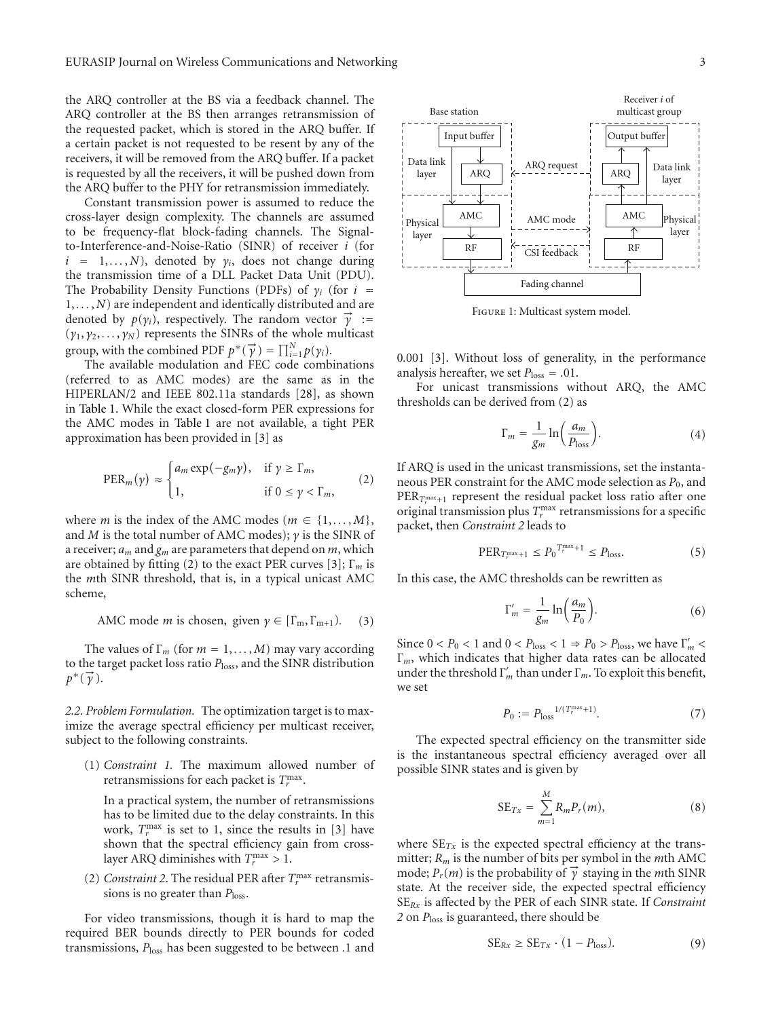the ARQ controller at the BS via a feedback channel. The ARQ controller at the BS then arranges retransmission of the requested packet, which is stored in the ARQ buffer. If a certain packet is not requested to be resent by any of the receivers, it will be removed from the ARQ buffer. If a packet is requested by all the receivers, it will be pushed down from the ARQ buffer to the PHY for retransmission immediately.

Constant transmission power is assumed to reduce the cross-layer design complexity. The channels are assumed to be frequency-flat block-fading channels. The Signalto-Interference-and-Noise-Ratio (SINR) of receiver *i* (for  $i = 1, \ldots, N$ , denoted by  $\gamma_i$ , does not change during the transmission time of a DLL Packet Data Unit (PDU). The Probability Density Functions (PDFs) of *γi* (for *<sup>i</sup>* <sup>=</sup> 1, *...* , *N*) are independent and identically distributed and are denoted by  $p(y_i)$ , respectively. The random vector  $\vec{\gamma}$  :=  $(\gamma_1, \gamma_2, \ldots, \gamma_N)$  represents the SINRs of the whole multicast group, with the combined PDF  $p^*(\vec{\gamma}) = \prod_{i=1}^N p(y_i)$ .<br>The available modulation and FFC code comb

The available modulation and FEC code combinations (referred to as AMC modes) are the same as in the HIPERLAN/2 and IEEE 802.11a standards [28], as shown in Table 1. While the exact closed-form PER expressions for the AMC modes in Table 1 are not available, a tight PER approximation has been provided in [3] as

$$
\text{PER}_{m}(\gamma) \approx \begin{cases} a_{m} \exp(-g_{m}\gamma), & \text{if } \gamma \ge \Gamma_{m}, \\ 1, & \text{if } 0 \le \gamma < \Gamma_{m}, \end{cases} \tag{2}
$$

where *m* is the index of the AMC modes ( $m \in \{1, \ldots, M\}$ , and *M* is the total number of AMC modes); *γ* is the SINR of a receiver; *am* and *gm* are parameters that depend on *<sup>m</sup>*, which are obtained by fitting (2) to the exact PER curves [3]; <sup>Γ</sup>*m* is the *m*th SINR threshold, that is, in a typical unicast AMC scheme,

AMC mode *m* is chosen, given 
$$
\gamma \in [\Gamma_m, \Gamma_{m+1})
$$
. (3)

The values of  $\Gamma_m$  (for  $m = 1, \ldots, M$ ) may vary according to the target packet loss ratio  $P_{\text{loss}}$ , and the SINR distribution  $p^*(\vec{\gamma}).$ 

*2.2. Problem Formulation.* The optimization target is to maximize the average spectral efficiency per multicast receiver, subject to the following constraints.

(1) *Constraint 1.* The maximum allowed number of retransmissions for each packet is  $T_r^{\text{max}}$ .

In a practical system, the number of retransmissions has to be limited due to the delay constraints. In this work,  $T_r^{\text{max}}$  is set to 1, since the results in [3] have<br>shown that the spectral efficiency gain from crossshown that the spectral efficiency gain from crosslayer ARQ diminishes with  $T_r^{\text{max}} > 1$ .

(2) *Constraint 2*. The residual PER after  $T_r^{\text{max}}$  retransmissions is no greater than  $P_{\text{max}}$ sions is no greater than  $P_{\text{loss}}$ .

For video transmissions, though it is hard to map the required BER bounds directly to PER bounds for coded transmissions, *<sup>P</sup>*loss has been suggested to be between *.*1 and



Figure 1: Multicast system model.

<sup>0</sup>*.*001 [3]. Without loss of generality, in the performance analysis hereafter, we set  $P_{\text{loss}} = .01$ .

For unicast transmissions without ARQ, the AMC thresholds can be derived from (2) as

$$
\Gamma_m = \frac{1}{g_m} \ln \left( \frac{a_m}{P_{\text{loss}}} \right). \tag{4}
$$

If ARQ is used in the unicast transmissions, set the instantaneous PER constraint for the AMC mode selection as  $P_0$ , and  $PER_{T<sub>pax+1</sub>}$  represent the residual packet loss ratio after one<br>critical transmission plus  $T<sub>max</sub>$  retransmissions for a specific original transmission plus  $T_r^{\text{max}}$  retransmissions for a specific<br>packet, then *Constraint* 2 leads to packet, then *Constraint 2* leads to

$$
\text{PER}_{T_r^{\max}+1} \le P_0^{T_r^{\max}+1} \le P_{\text{loss}}.\tag{5}
$$

In this case, the AMC thresholds can be rewritten as

$$
\Gamma_m' = \frac{1}{g_m} \ln \left( \frac{a_m}{P_0} \right). \tag{6}
$$

Since  $0 < P_0 < 1$  and  $0 < P_{\text{loss}} < 1 \Rightarrow P_0 > P_{\text{loss}}$ , we have  $\Gamma'_m <$  $\Gamma_m$ , which indicates that higher data rates can be allocated<br>
under the threshold  $\Gamma'$  than under  $\Gamma$ . To exploit this hangful. under the threshold  $\Gamma'_m$  than under  $\Gamma_m$ . To exploit this benefit, we set

$$
P_0 := P_{\text{loss}}^{1/(T_r^{\text{max}}+1)}.
$$
 (7)

The expected spectral efficiency on the transmitter side is the instantaneous spectral efficiency averaged over all possible SINR states and is given by

$$
SE_{Tx} = \sum_{m=1}^{M} R_m P_r(m), \qquad (8)
$$

where  $SE<sub>Tx</sub>$  is the expected spectral efficiency at the transmitter; *Rm* is the number of bits per symbol in the *<sup>m</sup>*th AMC mode;  $P_r(m)$  is the probability of  $\vec{\gamma}$  staying in the *m*th SINR state. At the receiver side, the expected spectral efficiency SE*Rx* is affected by the PER of each SINR state. If *Constraint <sup>2</sup>* on *<sup>P</sup>*loss is guaranteed, there should be

$$
SE_{Rx} \ge SE_{Tx} \cdot (1 - P_{loss}).\tag{9}
$$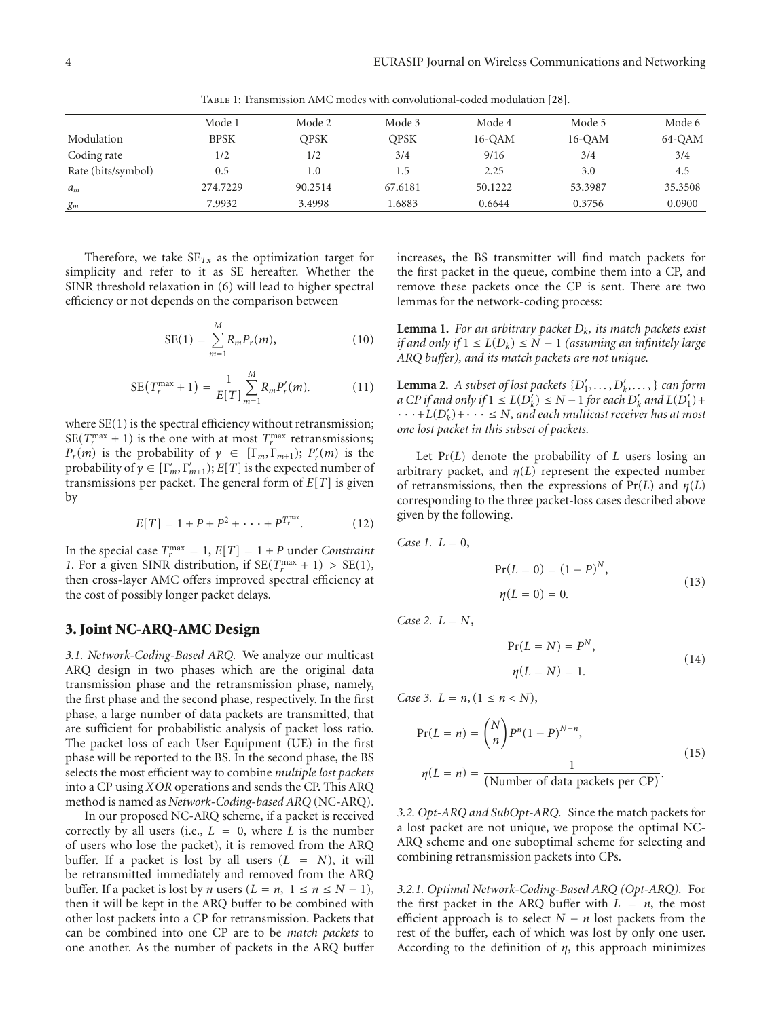|                    | Mode 1      | Mode 2  | Mode 3  | Mode 4    | Mode 5  | Mode 6  |
|--------------------|-------------|---------|---------|-----------|---------|---------|
| Modulation         | <b>BPSK</b> | OPSK    | OPSK    | $16$ -OAM | 16-OAM  | 64-OAM  |
| Coding rate        | 1/2         | 1/2     | 3/4     | 9/16      | 3/4     | 3/4     |
| Rate (bits/symbol) | 0.5         | 1.0     | 1.5     | 2.25      | 3.0     | 4.5     |
| $a_m$              | 274.7229    | 90.2514 | 67.6181 | 50.1222   | 53.3987 | 35.3508 |
| $g_m$              | 7.9932      | 3.4998  | 1.6883  | 0.6644    | 0.3756  | 0.0900  |
|                    |             |         |         |           |         |         |

Table 1: Transmission AMC modes with convolutional-coded modulation [28].

Therefore, we take  $SE<sub>Tx</sub>$  as the optimization target for simplicity and refer to it as SE hereafter. Whether the SINR threshold relaxation in (6) will lead to higher spectral efficiency or not depends on the comparison between

$$
SE(1) = \sum_{m=1}^{M} R_m P_r(m),
$$
 (10)

$$
SE(T_r^{\max} + 1) = \frac{1}{E[T]} \sum_{m=1}^{M} R_m P'_r(m). \tag{11}
$$

where  $SE(1)$  is the spectral efficiency without retransmission;  $SE(T_r^{\text{max}} + 1)$  is the one with at most  $T_r^{\text{max}}$  retransmissions;<br> $P_r(m)$  is the probability of  $y \in [\Gamma_{m}, \Gamma_{m+1})$ ;  $P'(m)$  is the *Pr*(*m*) is the probability of  $\gamma \in [\Gamma_m, \Gamma_{m+1});$  *Pr*(*m*) is the probability of  $\nu \in [\Gamma' \Gamma' \dots]$ . *F*(*T*) is the expected number of probability of  $\gamma \in [\Gamma'_m, \Gamma'_{m+1}); E[T]$  is the expected number of transmissions per packet. The general form of  $E[T]$  is given transmissions per packet. The general form of *E*[*T*] is given by

$$
E[T] = 1 + P + P^{2} + \dots + P^{T_{r}^{\max}}.
$$
 (12)

In the special case  $T_r^{\text{max}} = 1$ ,  $E[T] = 1 + P$  under *Constraint*<br>*I* For a given SINR distribution if  $SE(T^{\text{max}} + 1) > SE(1)$ *1*. For a given SINR distribution, if  $SE(T_r^{max} + 1) > SE(1)$ , then cross-layer AMC offers improved spectral efficiency at then cross-layer AMC offers improved spectral efficiency at the cost of possibly longer packet delays.

## **3. Joint NC-ARQ-AMC Design**

*3.1. Network-Coding-Based ARQ.* We analyze our multicast ARQ design in two phases which are the original data transmission phase and the retransmission phase, namely, the first phase and the second phase, respectively. In the first phase, a large number of data packets are transmitted, that are sufficient for probabilistic analysis of packet loss ratio. The packet loss of each User Equipment (UE) in the first phase will be reported to the BS. In the second phase, the BS selects the most efficient way to combine *multiple lost packets* into a CP using *XOR* operations and sends the CP. This ARQ method is named as *Network-Coding-based ARQ* (NC-ARQ).

In our proposed NC-ARQ scheme, if a packet is received correctly by all users (i.e.,  $L = 0$ , where *L* is the number of users who lose the packet), it is removed from the ARQ buffer. If a packet is lost by all users  $(L = N)$ , it will be retransmitted immediately and removed from the ARQ buffer. If a packet is lost by *n* users  $(L = n, 1 \le n \le N - 1)$ , then it will be kept in the ARQ buffer to be combined with other lost packets into a CP for retransmission. Packets that can be combined into one CP are to be *match packets* to one another. As the number of packets in the ARQ buffer

increases, the BS transmitter will find match packets for the first packet in the queue, combine them into a CP, and remove these packets once the CP is sent. There are two lemmas for the network-coding process:

**Lemma 1.** *For an arbitrary packet Dk, its match packets exist if and only if*  $1 \le L(D_k) \le N - 1$  *(assuming an infinitely large ARQ buffer), and its match packets are not unique.*

**Lemma 2.** *A subset of lost packets*  $\{D'_1, \ldots, D'_k, \ldots\}$  *can form*  $a \, CP \, if \, and \, only \, if \, 1 \leq I(D') \leq N-1 \, for \, each \, D' \, and \, I(D') +$ *a* CP if and only if  $1 \le L(D'_k) \le N-1$  for each  $D'_k$  and  $L(D'_1) + \cdots + L(D'_k) + \cdots \le N$  and each multicast receiver has at most  $\cdots+L(D<sub>k</sub><sup>'</sup>)+\cdots \leq N$ , and each multicast receiver has at most<br>one lost packet in this subset of packets *one lost packet in this subset of packets.*

Let Pr(*L*) denote the probability of *L* users losing an arbitrary packet, and  $\eta(L)$  represent the expected number of retransmissions, then the expressions of  $Pr(L)$  and  $\eta(L)$ corresponding to the three packet-loss cases described above given by the following.

*Case 1.*  $L = 0$ ,

$$
Pr(L = 0) = (1 - P)^{N},
$$
  
\n
$$
\eta(L = 0) = 0.
$$
\n(13)

*Case 2. <sup>L</sup>* <sup>=</sup> *N*,

$$
Pr(L = N) = PN,
$$
  
\n
$$
\eta(L = N) = 1.
$$
\n(14)

*Case 3.*  $L = n$ ,  $(1 \le n \le N)$ ,

$$
Pr(L = n) = \binom{N}{n} P^n (1 - P)^{N-n},
$$
  
\n
$$
\eta(L = n) = \frac{1}{(\text{Number of data packets per CP})}.
$$
\n(15)

*3.2. Opt-ARQ and SubOpt-ARQ.* Since the match packets for a lost packet are not unique, we propose the optimal NC-ARQ scheme and one suboptimal scheme for selecting and combining retransmission packets into CPs.

*3.2.1. Optimal Network-Coding-Based ARQ (Opt-ARQ).* For the first packet in the ARQ buffer with  $L = n$ , the most efficient approach is to select  $N - n$  lost packets from the rest of the buffer, each of which was lost by only one user. According to the definition of *η*, this approach minimizes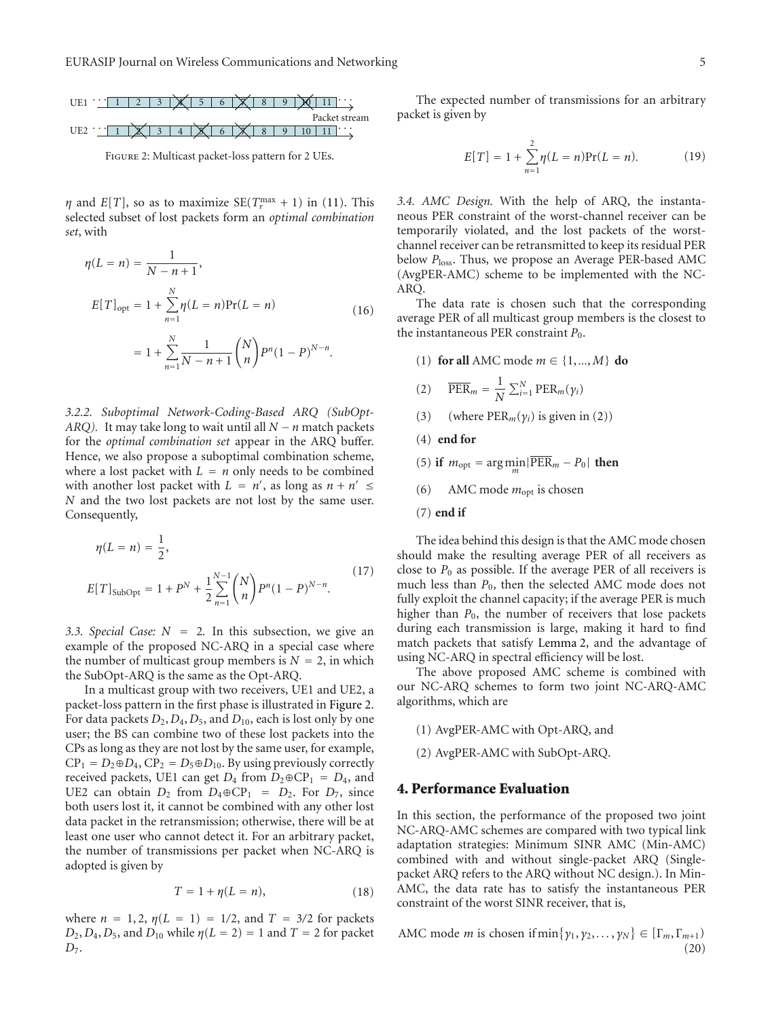

Figure 2: Multicast packet-loss pattern for 2 UEs.

*η* and  $E[T]$ , so as to maximize  $SE(T_r^{\text{max}} + 1)$  in (11). This selected subset of lost packets form an *optimal combination* selected subset of lost packets form an *optimal combination set*, with

$$
\eta(L = n) = \frac{1}{N - n + 1},
$$
  
\n
$$
E[T]_{\text{opt}} = 1 + \sum_{n=1}^{N} \eta(L = n) \text{Pr}(L = n)
$$
  
\n
$$
= 1 + \sum_{n=1}^{N} \frac{1}{N - n + 1} {N \choose n} P^{n} (1 - P)^{N - n}.
$$
\n(16)

*3.2.2. Suboptimal Network-Coding-Based ARQ (SubOpt-ARQ).* It may take long to wait until all *<sup>N</sup>* <sup>−</sup> *n* match packets for the *optimal combination set* appear in the ARQ buffer. Hence, we also propose a suboptimal combination scheme, where a lost packet with  $L = n$  only needs to be combined with another lost packet with  $L = n'$ , as long as  $n + n' \le N$  and the two lost packets are not lost by the same user *N* and the two lost packets are not lost by the same user. Consequently,

$$
\eta(L = n) = \frac{1}{2},
$$
\n
$$
E[T]_{\text{SubOpt}} = 1 + P^N + \frac{1}{2} \sum_{n=1}^{N-1} {N \choose n} P^n (1 - P)^{N-n}.
$$
\n(17)

*3.3. Special Case: <sup>N</sup>* <sup>=</sup> <sup>2</sup>*.* In this subsection, we give an example of the proposed NC-ARQ in a special case where the number of multicast group members is  $N = 2$ , in which the SubOpt-ARQ is the same as the Opt-ARQ.

In a multicast group with two receivers, UE1 and UE2, a packet-loss pattern in the first phase is illustrated in Figure 2. For data packets  $D_2$ ,  $D_4$ ,  $D_5$ , and  $D_{10}$ , each is lost only by one user; the BS can combine two of these lost packets into the CPs as long as they are not lost by the same user, for example,  $CP_1 = D_2 \oplus D_4$ ,  $CP_2 = D_5 \oplus D_{10}$ . By using previously correctly received packets, UE1 can get  $D_4$  from  $D_2 \oplus CP_1 = D_4$ , and UE2 can obtain  $D_2$  from  $D_4 \oplus CP_1 = D_2$ . For  $D_7$ , since both users lost it, it cannot be combined with any other lost data packet in the retransmission; otherwise, there will be at least one user who cannot detect it. For an arbitrary packet, the number of transmissions per packet when NC-ARQ is adopted is given by

$$
T = 1 + \eta(L = n),\tag{18}
$$

where  $n = 1, 2, \eta(L = 1) = 1/2$ , and  $T = 3/2$  for packets *D*<sub>2</sub>, *D*<sub>4</sub>, *D*<sub>5</sub>, and *D*<sub>10</sub> while  $\eta(L = 2) = 1$  and  $T = 2$  for packet *D*7.

The expected number of transmissions for an arbitrary packet is given by

$$
E[T] = 1 + \sum_{n=1}^{2} \eta(L = n) \Pr(L = n).
$$
 (19)

*3.4. AMC Design.* With the help of ARQ, the instantaneous PER constraint of the worst-channel receiver can be temporarily violated, and the lost packets of the worstchannel receiver can be retransmitted to keep its residual PER below *P*<sub>loss</sub>. Thus, we propose an Average PER-based AMC (AvgPER-AMC) scheme to be implemented with the NC-ARQ.

The data rate is chosen such that the corresponding average PER of all multicast group members is the closest to the instantaneous PER constraint *P*<sub>0</sub>.

(1) **for all** AMC mode  $m \in \{1, ..., M\}$  **do** 

(2) 
$$
\overline{\text{PER}}_m = \frac{1}{N} \sum_{i=1}^N \text{PER}_m(\gamma_i)
$$

- (3) (where  $PER_m(\gamma_i)$  is given in (2))
- (4) **end for**
- (5) **if**  $m_{\text{opt}} = \arg \min_{m} |\overline{\text{PER}}_m P_0|$  **then**
- (6) AMC mode *<sup>m</sup>*opt is chosen
- (7) **end if**

The idea behind this design is that the AMC mode chosen should make the resulting average PER of all receivers as close to  $P_0$  as possible. If the average PER of all receivers is much less than  $P_0$ , then the selected AMC mode does not fully exploit the channel capacity; if the average PER is much higher than  $P_0$ , the number of receivers that lose packets during each transmission is large, making it hard to find match packets that satisfy Lemma 2, and the advantage of using NC-ARQ in spectral efficiency will be lost.

The above proposed AMC scheme is combined with our NC-ARQ schemes to form two joint NC-ARQ-AMC algorithms, which are

- (1) AvgPER-AMC with Opt-ARQ, and
- (2) AvgPER-AMC with SubOpt-ARQ.

## **4. Performance Evaluation**

In this section, the performance of the proposed two joint NC-ARQ-AMC schemes are compared with two typical link adaptation strategies: Minimum SINR AMC (Min-AMC) combined with and without single-packet ARQ (Singlepacket ARQ refers to the ARQ without NC design.). In Min-AMC, the data rate has to satisfy the instantaneous PER constraint of the worst SINR receiver, that is,

AMC mode *m* is chosen ifmin{
$$
\gamma_1, \gamma_2, ..., \gamma_N
$$
}  $\in$  [ $\Gamma_m, \Gamma_{m+1}$ )(20)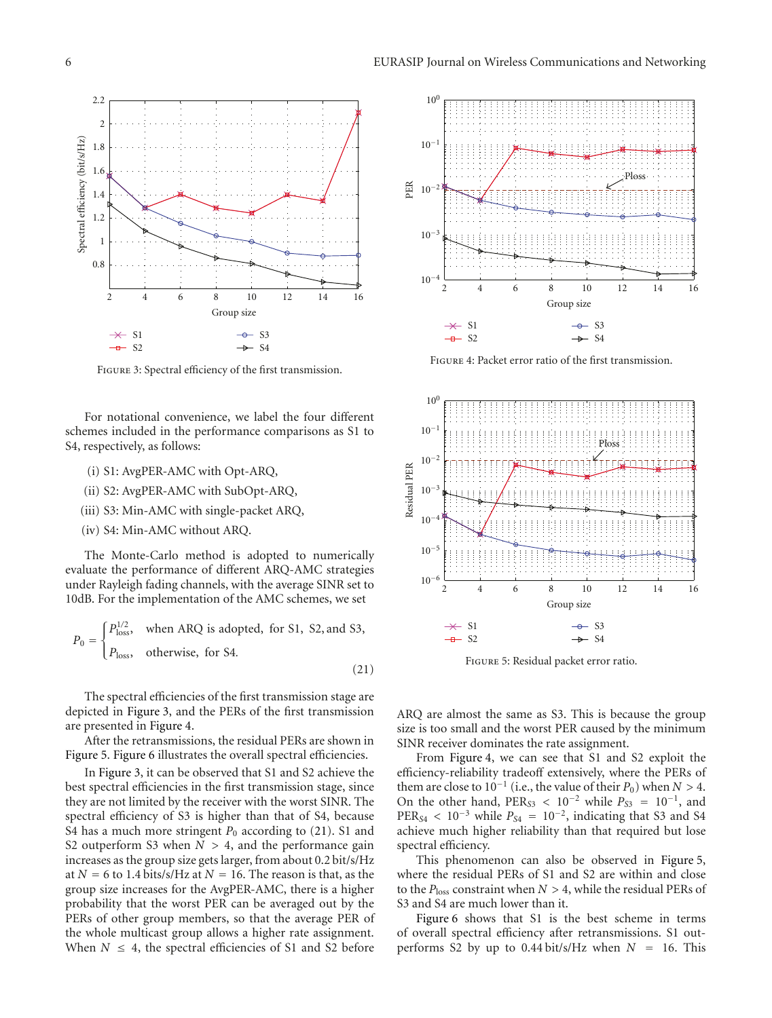

Figure 3: Spectral efficiency of the first transmission.

For notational convenience, we label the four different schemes included in the performance comparisons as S1 to S4, respectively, as follows:

- (i) S1: AvgPER-AMC with Opt-ARQ,
- (ii) S2: AvgPER-AMC with SubOpt-ARQ,
- (iii) S3: Min-AMC with single-packet ARQ,
- (iv) S4: Min-AMC without ARQ.

The Monte-Carlo method is adopted to numerically evaluate the performance of different ARQ-AMC strategies under Rayleigh fading channels, with the average SINR set to 10dB. For the implementation of the AMC schemes, we set

$$
P_0 = \begin{cases} P_{\text{loss}}^{1/2}, & \text{when ARQ is adopted, for S1, S2, and S3,} \\ P_{\text{loss}}, & \text{otherwise, for S4.} \end{cases} \tag{21}
$$

The spectral efficiencies of the first transmission stage are depicted in Figure 3, and the PERs of the first transmission are presented in Figure 4.

After the retransmissions, the residual PERs are shown in Figure 5. Figure 6 illustrates the overall spectral efficiencies.

In Figure 3, it can be observed that S1 and S2 achieve the best spectral efficiencies in the first transmission stage, since they are not limited by the receiver with the worst SINR. The spectral efficiency of S3 is higher than that of S4, because S4 has a much more stringent  $P_0$  according to (21). S1 and S2 outperform S3 when  $N > 4$ , and the performance gain increases as the group size gets larger, from about 0.2 bit/s/Hz at  $N = 6$  to 1.4 bits/s/Hz at  $N = 16$ . The reason is that, as the group size increases for the AvgPER-AMC, there is a higher probability that the worst PER can be averaged out by the PERs of other group members, so that the average PER of the whole multicast group allows a higher rate assignment. When  $N \leq 4$ , the spectral efficiencies of S1 and S2 before



Figure 4: Packet error ratio of the first transmission.



Figure 5: Residual packet error ratio.

ARQ are almost the same as S3. This is because the group size is too small and the worst PER caused by the minimum SINR receiver dominates the rate assignment.

From Figure 4, we can see that S1 and S2 exploit the efficiency-reliability tradeoff extensively, where the PERs of them are close to  $10^{-1}$  (i.e., the value of their  $P_0$ ) when  $N > 4$ . On the other hand, PER*S*<sup>3</sup> *<sup>&</sup>lt;* <sup>10</sup>−<sup>2</sup> while *PS*<sup>3</sup> <sup>=</sup> <sup>10</sup>−1, and  $PER_{S4}$  < 10<sup>-3</sup> while  $P_{S4}$  = 10<sup>-2</sup>, indicating that S3 and S4 achieve much higher reliability than that required but lose spectral efficiency.

This phenomenon can also be observed in Figure 5, where the residual PERs of S1 and S2 are within and close to the  $P_{\text{loss}}$  constraint when  $N > 4$ , while the residual PERs of S3 and S4 are much lower than it.

Figure 6 shows that S1 is the best scheme in terms of overall spectral efficiency after retransmissions. S1 outperforms S2 by up to 0.44 bit/s/Hz when  $N = 16$ . This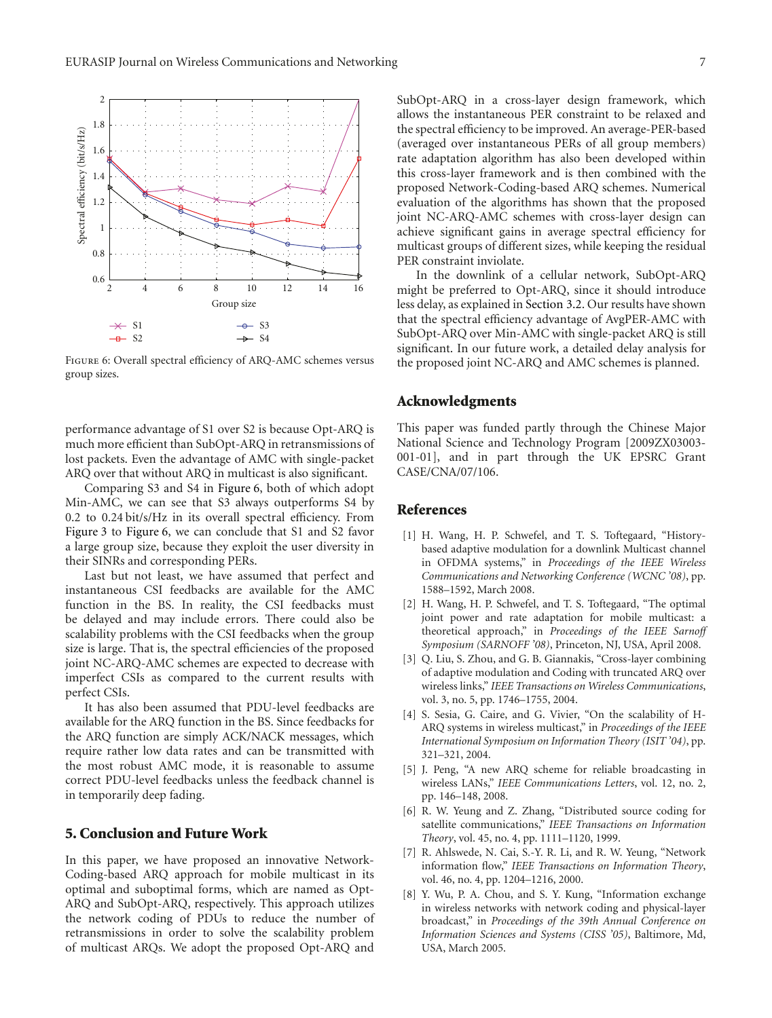

Figure 6: Overall spectral efficiency of ARQ-AMC schemes versus group sizes.

performance advantage of S1 over S2 is because Opt-ARQ is much more efficient than SubOpt-ARQ in retransmissions of lost packets. Even the advantage of AMC with single-packet ARQ over that without ARQ in multicast is also significant.

Comparing S3 and S4 in Figure 6, both of which adopt Min-AMC, we can see that S3 always outperforms S4 by 0.2 to 0.24 bit/s/Hz in its overall spectral efficiency. From Figure 3 to Figure 6, we can conclude that S1 and S2 favor a large group size, because they exploit the user diversity in their SINRs and corresponding PERs.

Last but not least, we have assumed that perfect and instantaneous CSI feedbacks are available for the AMC function in the BS. In reality, the CSI feedbacks must be delayed and may include errors. There could also be scalability problems with the CSI feedbacks when the group size is large. That is, the spectral efficiencies of the proposed joint NC-ARQ-AMC schemes are expected to decrease with imperfect CSIs as compared to the current results with perfect CSIs.

It has also been assumed that PDU-level feedbacks are available for the ARQ function in the BS. Since feedbacks for the ARQ function are simply ACK/NACK messages, which require rather low data rates and can be transmitted with the most robust AMC mode, it is reasonable to assume correct PDU-level feedbacks unless the feedback channel is in temporarily deep fading.

## **5. Conclusion and Future Work**

In this paper, we have proposed an innovative Network-Coding-based ARQ approach for mobile multicast in its optimal and suboptimal forms, which are named as Opt-ARQ and SubOpt-ARQ, respectively. This approach utilizes the network coding of PDUs to reduce the number of retransmissions in order to solve the scalability problem of multicast ARQs. We adopt the proposed Opt-ARQ and

SubOpt-ARQ in a cross-layer design framework, which allows the instantaneous PER constraint to be relaxed and the spectral efficiency to be improved. An average-PER-based (averaged over instantaneous PERs of all group members) rate adaptation algorithm has also been developed within this cross-layer framework and is then combined with the proposed Network-Coding-based ARQ schemes. Numerical evaluation of the algorithms has shown that the proposed joint NC-ARQ-AMC schemes with cross-layer design can achieve significant gains in average spectral efficiency for multicast groups of different sizes, while keeping the residual PER constraint inviolate.

In the downlink of a cellular network, SubOpt-ARQ might be preferred to Opt-ARQ, since it should introduce less delay, as explained in Section 3.2. Our results have shown that the spectral efficiency advantage of AvgPER-AMC with SubOpt-ARQ over Min-AMC with single-packet ARQ is still significant. In our future work, a detailed delay analysis for the proposed joint NC-ARQ and AMC schemes is planned.

# **Acknowledgments**

This paper was funded partly through the Chinese Major National Science and Technology Program [2009ZX03003- 001-01], and in part through the UK EPSRC Grant CASE/CNA/07/106.

# **References**

- [1] H. Wang, H. P. Schwefel, and T. S. Toftegaard, "Historybased adaptive modulation for a downlink Multicast channel in OFDMA systems," in *Proceedings of the IEEE Wireless Communications and Networking Conference (WCNC '08)*, pp. 1588–1592, March 2008.
- [2] H. Wang, H. P. Schwefel, and T. S. Toftegaard, "The optimal joint power and rate adaptation for mobile multicast: a theoretical approach," in *Proceedings of the IEEE Sarnoff Symposium (SARNOFF '08)*, Princeton, NJ, USA, April 2008.
- [3] Q. Liu, S. Zhou, and G. B. Giannakis, "Cross-layer combining of adaptive modulation and Coding with truncated ARQ over wireless links," *IEEE Transactions on Wireless Communications*, vol. 3, no. 5, pp. 1746–1755, 2004.
- [4] S. Sesia, G. Caire, and G. Vivier, "On the scalability of H-ARQ systems in wireless multicast," in *Proceedings of the IEEE International Symposium on Information Theory (ISIT '04)*, pp. 321–321, 2004.
- [5] J. Peng, "A new ARQ scheme for reliable broadcasting in wireless LANs," *IEEE Communications Letters*, vol. 12, no. 2, pp. 146–148, 2008.
- [6] R. W. Yeung and Z. Zhang, "Distributed source coding for satellite communications," *IEEE Transactions on Information Theory*, vol. 45, no. 4, pp. 1111–1120, 1999.
- [7] R. Ahlswede, N. Cai, S.-Y. R. Li, and R. W. Yeung, "Network information flow," *IEEE Transactions on Information Theory*, vol. 46, no. 4, pp. 1204–1216, 2000.
- [8] Y. Wu, P. A. Chou, and S. Y. Kung, "Information exchange in wireless networks with network coding and physical-layer broadcast," in *Proceedings of the 39th Annual Conference on Information Sciences and Systems (CISS '05)*, Baltimore, Md, USA, March 2005.